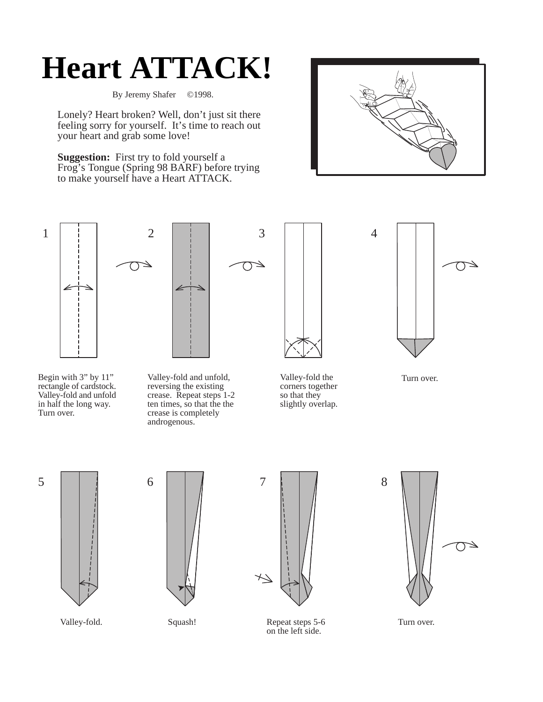## **Heart ATTACK!**

By Jeremy Shafer ©1998.

Lonely? Heart broken? Well, don't just sit there feeling sorry for yourself. It's time to reach out your heart and grab some love!

**Suggestion:** First try to fold yourself a Frog's Tongue (Spring 98 BARF) before trying to make yourself have a Heart ATTACK.



4





Begin with 3" by 11" rectangle of cardstock. Valley-fold and unfold in half the long way. Turn over.

Valley-fold and unfold, reversing the existing crease. Repeat steps 1-2 ten times, so that the the crease is completely androgenous.



⊿

Valley-fold the corners together so that they slightly overlap.



Turn over.



Valley-fold.





Squash! Repeat steps 5-6 Turn over. on the left side.

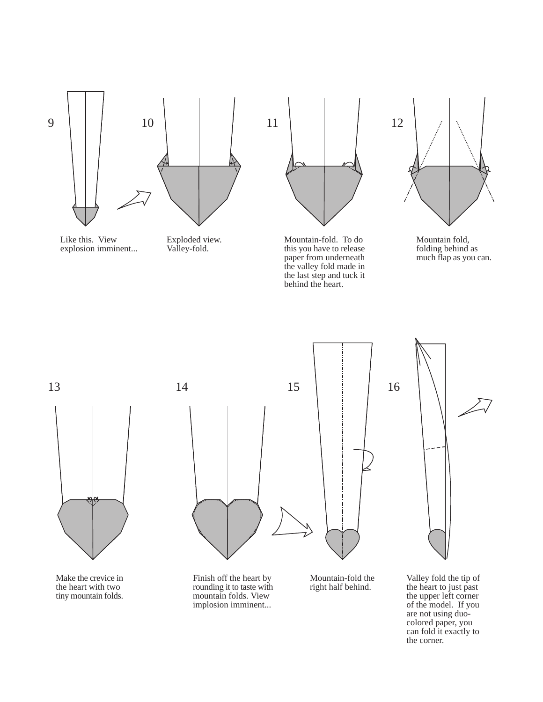



Exploded view. Valley-fold.



Mountain-fold. To do this you have to release paper from underneath the valley fold made in the last step and tuck it behind the heart.



Mountain fold, folding behind as much flap as you can.



Make the crevice in the heart with two tiny mountain folds.



Finish off the heart by rounding it to taste with mountain folds. View implosion imminent...

Mountain-fold the right half behind.